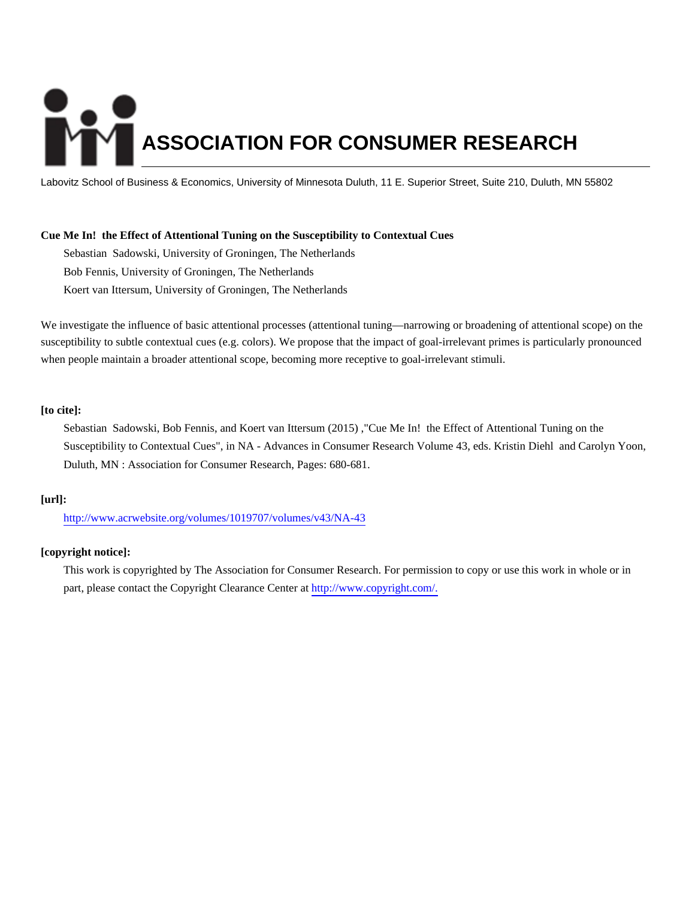# **ASSOCIATION FOR CONSUMER RESEARCH**

Labovitz School of Business & Economics, University of Minnesota Duluth, 11 E. Superior Street, Suite 210, Duluth, MN 55802

# **Cue Me In! the Effect of Attentional Tuning on the Susceptibility to Contextual Cues**

Sebastian Sadowski, University of Groningen, The Netherlands Bob Fennis, University of Groningen, The Netherlands Koert van Ittersum, University of Groningen, The Netherlands

We investigate the influence of basic attentional processes (attentional tuning—narrowing or broadening of attentional scope) on the susceptibility to subtle contextual cues (e.g. colors). We propose that the impact of goal-irrelevant primes is particularly pronounced when people maintain a broader attentional scope, becoming more receptive to goal-irrelevant stimuli.

# **[to cite]:**

Sebastian Sadowski, Bob Fennis, and Koert van Ittersum (2015) ,"Cue Me In! the Effect of Attentional Tuning on the Susceptibility to Contextual Cues", in NA - Advances in Consumer Research Volume 43, eds. Kristin Diehl and Carolyn Yoon, Duluth, MN : Association for Consumer Research, Pages: 680-681.

# **[url]:**

<http://www.acrwebsite.org/volumes/1019707/volumes/v43/NA-43>

# **[copyright notice]:**

This work is copyrighted by The Association for Consumer Research. For permission to copy or use this work in whole or in part, please contact the Copyright Clearance Center at [http://www.copyright.com/.](http://www.copyright.com/)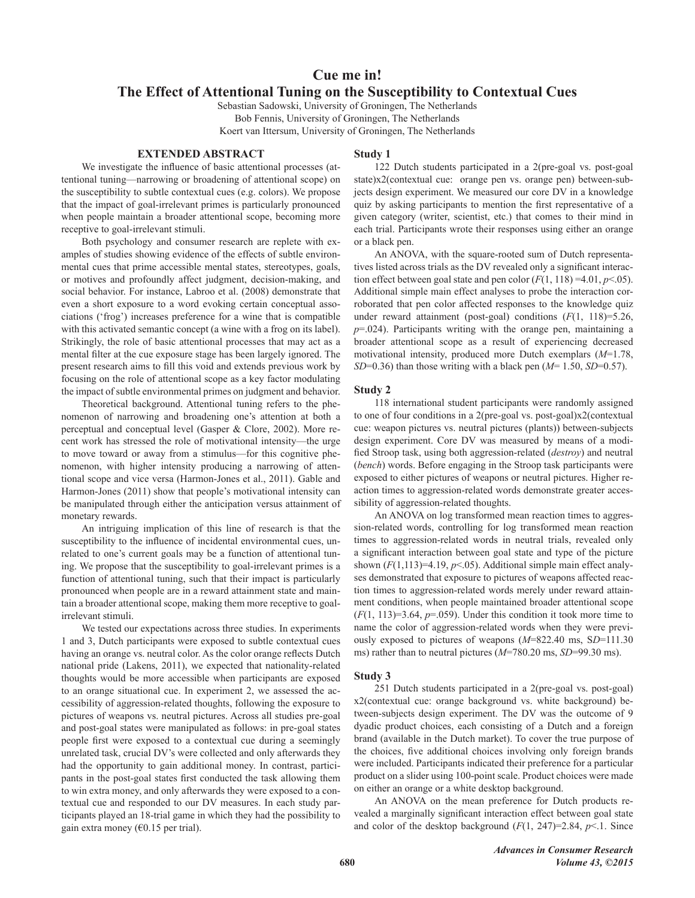# Cue me in! The Effect of Attentional Tuning on the Susceptibility to Contextual Cues

Sebastian Sadowski, University of Groningen, The Netherlands

Bob Fennis, University of Groningen, The Netherlands Koert van Ittersum, University of Groningen, The Netherlands

#### **EXTENDED ABSTRACT**

We investigate the influence of basic attentional processes (attentional tuning—narrowing or broadening of attentional scope) on the susceptibility to subtle contextual cues (e.g. colors). We propose that the impact of goal-irrelevant primes is particularly pronounced when people maintain a broader attentional scope, becoming more receptive to goal-irrelevant stimuli.

Both psychology and consumer research are replete with examples of studies showing evidence of the effects of subtle environmental cues that prime accessible mental states, stereotypes, goals, or motives and profoundly affect judgment, decision-making, and social behavior. For instance, Labroo et al. (2008) demonstrate that even a short exposure to a word evoking certain conceptual associations ('frog') increases preference for a wine that is compatible with this activated semantic concept (a wine with a frog on its label). Strikingly, the role of basic attentional processes that may act as a mental filter at the cue exposure stage has been largely ignored. The present research aims to fill this void and extends previous work by focusing on the role of attentional scope as a key factor modulating the impact of subtle environmental primes on judgment and behavior.

Theoretical background. Attentional tuning refers to the phenomenon of narrowing and broadening one's attention at both a perceptual and conceptual level (Gasper & Clore, 2002). More recent work has stressed the role of motivational intensity-the urge to move toward or away from a stimulus-for this cognitive phenomenon, with higher intensity producing a narrowing of attentional scope and vice versa (Harmon-Jones et al., 2011). Gable and Harmon-Jones (2011) show that people's motivational intensity can be manipulated through either the anticipation versus attainment of monetary rewards.

An intriguing implication of this line of research is that the susceptibility to the influence of incidental environmental cues, unrelated to one's current goals may be a function of attentional tuning. We propose that the susceptibility to goal-irrelevant primes is a function of attentional tuning, such that their impact is particularly pronounced when people are in a reward attainment state and maintain a broader attentional scope, making them more receptive to goalirrelevant stimuli.

We tested our expectations across three studies. In experiments 1 and 3, Dutch participants were exposed to subtle contextual cues having an orange vs. neutral color. As the color orange reflects Dutch national pride (Lakens, 2011), we expected that nationality-related thoughts would be more accessible when participants are exposed to an orange situational cue. In experiment 2, we assessed the accessibility of aggression-related thoughts, following the exposure to pictures of weapons vs. neutral pictures. Across all studies pre-goal and post-goal states were manipulated as follows: in pre-goal states people first were exposed to a contextual cue during a seemingly unrelated task, crucial DV's were collected and only afterwards they had the opportunity to gain additional money. In contrast, participants in the post-goal states first conducted the task allowing them to win extra money, and only afterwards they were exposed to a contextual cue and responded to our DV measures. In each study participants played an 18-trial game in which they had the possibility to gain extra money ( $\epsilon$ 0.15 per trial).

# **Study 1**

122 Dutch students participated in a 2(pre-goal vs. post-goal state)x2(contextual cue: orange pen vs. orange pen) between-subjects design experiment. We measured our core DV in a knowledge quiz by asking participants to mention the first representative of a given category (writer, scientist, etc.) that comes to their mind in each trial. Participants wrote their responses using either an orange or a black pen.

An ANOVA, with the square-rooted sum of Dutch representatives listed across trials as the DV revealed only a significant interaction effect between goal state and pen color  $(F(1, 118) = 4.01, p < .05)$ . Additional simple main effect analyses to probe the interaction corroborated that pen color affected responses to the knowledge quiz under reward attainment (post-goal) conditions  $(F(1, 118)=5.26,$  $p=0.024$ ). Participants writing with the orange pen, maintaining a broader attentional scope as a result of experiencing decreased motivational intensity, produced more Dutch exemplars  $(M=1.78)$ ,  $SD=0.36$ ) than those writing with a black pen ( $M=1.50$ ,  $SD=0.57$ ).

### Study 2

118 international student participants were randomly assigned to one of four conditions in a 2(pre-goal vs. post-goal) $x2$ (contextual cue: weapon pictures vs. neutral pictures (plants)) between-subjects design experiment. Core DV was measured by means of a modified Stroop task, using both aggression-related (*destrov*) and neutral (bench) words. Before engaging in the Stroop task participants were exposed to either pictures of weapons or neutral pictures. Higher reaction times to aggression-related words demonstrate greater accessibility of aggression-related thoughts.

An ANOVA on log transformed mean reaction times to aggression-related words, controlling for log transformed mean reaction times to aggression-related words in neutral trials, revealed only a significant interaction between goal state and type of the picture shown  $(F(1, 113)=4.19, p<0.05)$ . Additional simple main effect analyses demonstrated that exposure to pictures of weapons affected reaction times to aggression-related words merely under reward attainment conditions, when people maintained broader attentional scope  $(F(1, 113)=3.64, p=.059)$ . Under this condition it took more time to name the color of aggression-related words when they were previously exposed to pictures of weapons  $(M=822.40 \text{ ms}, SD=111.30$ ms) rather than to neutral pictures  $(M=780.20 \text{ ms}, SD=99.30 \text{ ms})$ .

#### Study 3

251 Dutch students participated in a 2(pre-goal vs. post-goal) x2(contextual cue: orange background vs. white background) between-subjects design experiment. The DV was the outcome of 9 dyadic product choices, each consisting of a Dutch and a foreign brand (available in the Dutch market). To cover the true purpose of the choices, five additional choices involving only foreign brands were included. Participants indicated their preference for a particular product on a slider using 100-point scale. Product choices were made on either an orange or a white desktop background.

An ANOVA on the mean preference for Dutch products revealed a marginally significant interaction effect between goal state and color of the desktop background  $(F(1, 247)=2.84, p<1$ . Since